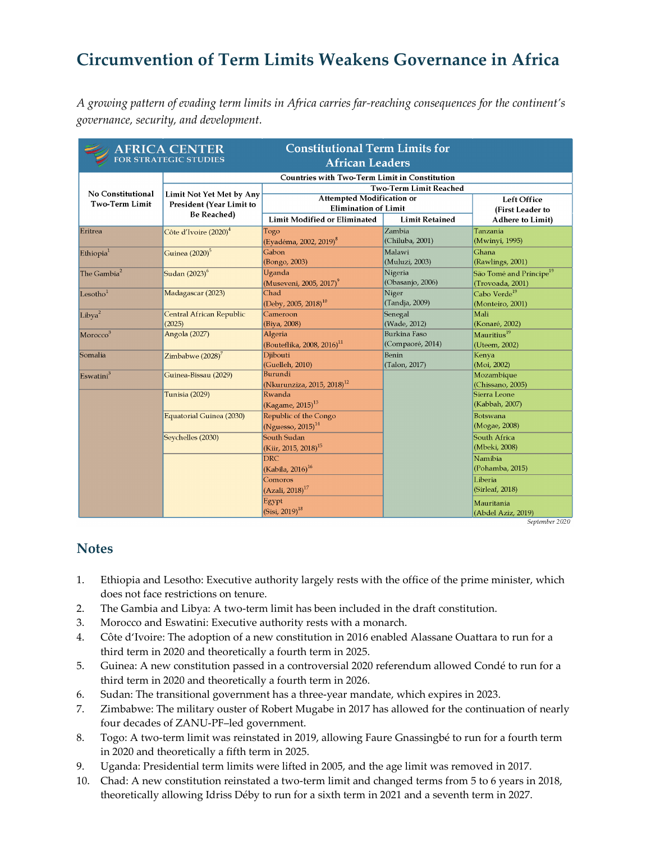## **Circumvention of Term Limits Weakens Governance in Africa**

*A growing pattern of evading term limits in Africa carries far-reaching consequences for the continent's governance, security, and development.*

| <b>Constitutional Term Limits for</b><br><b>AFRICA CENTER</b><br>FOR STRATEGIC STUDIES<br><b>African Leaders</b> |                                                                            |                                        |                       |                                     |  |
|------------------------------------------------------------------------------------------------------------------|----------------------------------------------------------------------------|----------------------------------------|-----------------------|-------------------------------------|--|
|                                                                                                                  | <b>Countries with Two-Term Limit in Constitution</b>                       |                                        |                       |                                     |  |
| No Constitutional<br><b>Two-Term Limit</b>                                                                       | Limit Not Yet Met by Any<br>President (Year Limit to<br><b>Be Reached)</b> | <b>Two-Term Limit Reached</b>          |                       |                                     |  |
|                                                                                                                  |                                                                            | <b>Attempted Modification or</b>       |                       | <b>Left Office</b>                  |  |
|                                                                                                                  |                                                                            | <b>Elimination of Limit</b>            |                       | (First Leader to                    |  |
|                                                                                                                  |                                                                            | <b>Limit Modified or Eliminated</b>    | <b>Limit Retained</b> | <b>Adhere to Limit)</b>             |  |
| Eritrea                                                                                                          | Côte d'Ivoire (2020) $^4$                                                  | Togo                                   | Zambia                | Tanzania                            |  |
|                                                                                                                  |                                                                            | (Eyadéma, 2002, 2019) <sup>8</sup>     | (Chiluba, 2001)       | (Mwinyi, 1995)                      |  |
| Ethiopia <sup>1</sup>                                                                                            | Guinea (2020) <sup>5</sup>                                                 | Gabon                                  | Malawi                | Ghana                               |  |
|                                                                                                                  |                                                                            | (Bongo, 2003)                          | (Muluzi, 2003)        | (Rawlings, 2001)                    |  |
| The Gambia <sup>2</sup>                                                                                          | Sudan (2023) <sup>6</sup>                                                  | Uganda                                 | Nigeria               | São Tomé and Príncipe <sup>19</sup> |  |
|                                                                                                                  |                                                                            | (Museveni, 2005, 2017) <sup>9</sup>    | (Obasanjo, 2006)      | (Trovoada, 2001)                    |  |
| Lesotho <sup>1</sup>                                                                                             | Madagascar (2023)                                                          | Chad                                   | Niger                 | Cabo Verde <sup>19</sup>            |  |
|                                                                                                                  |                                                                            | (Deby, 2005, 2018) <sup>10</sup>       | (Tandja, 2009)        | (Monteiro, 2001)                    |  |
| Libya <sup>2</sup>                                                                                               | Central African Republic                                                   | Cameroon                               | Senegal               | Mali                                |  |
|                                                                                                                  | (2025)                                                                     | (Biya, 2008)                           | (Wade, 2012)          | (Konaré, 2002)                      |  |
| Morocco <sup>3</sup>                                                                                             | Angola (2027)                                                              | Algeria                                | Burkina Faso          | Mauritius <sup>19</sup>             |  |
|                                                                                                                  |                                                                            | (Bouteflika, 2008, 2016) <sup>11</sup> | (Compaoré, 2014)      | (Uteem, 2002)                       |  |
| Somalia                                                                                                          | Zimbabwe $(2028)^7$                                                        | Djibouti                               | Benin                 | Kenya                               |  |
|                                                                                                                  |                                                                            | (Guelleh, 2010)                        | (Talon, 2017)         | (Moi, 2002)                         |  |
| Eswatini <sup>3</sup>                                                                                            | Guinea-Bissau (2029)                                                       | Burundi                                |                       | Mozambique                          |  |
|                                                                                                                  |                                                                            | (Nkurunziza, 2015, 2018) <sup>12</sup> |                       | (Chissano, 2005)                    |  |
|                                                                                                                  | Tunisia (2029)                                                             | Rwanda                                 |                       | Sierra Leone                        |  |
|                                                                                                                  |                                                                            | (Kagame, 2015) $^{13}$                 |                       | (Kabbah, 2007)                      |  |
|                                                                                                                  | Equatorial Guinea (2030)                                                   | Republic of the Congo                  |                       | <b>Botswana</b>                     |  |
|                                                                                                                  |                                                                            | (Nguesso, $2015$ ) <sup>14</sup>       |                       | (Mogae, 2008)                       |  |
|                                                                                                                  | Seychelles (2030)                                                          | South Sudan                            |                       | South Africa                        |  |
|                                                                                                                  |                                                                            | (Kiir, 2015, 2018) <sup>15</sup>       |                       | (Mbeki, 2008)                       |  |
|                                                                                                                  |                                                                            | <b>DRC</b>                             |                       | Namibia                             |  |
|                                                                                                                  |                                                                            | (Kabila, 2016) <sup>16</sup>           |                       | (Pohamba, 2015)                     |  |
|                                                                                                                  |                                                                            | Comoros                                |                       | Liberia                             |  |
|                                                                                                                  |                                                                            | $(Azali, 2018)^{17}$                   |                       | (Sirleaf, 2018)                     |  |
|                                                                                                                  |                                                                            | Egypt                                  |                       | Mauritania                          |  |
|                                                                                                                  |                                                                            | $(Sisi, 2019)^{18}$                    |                       | (Abdel Aziz, 2019)                  |  |

September 2020

## **Notes**

- 1. Ethiopia and Lesotho: Executive authority largely rests with the office of the prime minister, which does not face restrictions on tenure.
- 2. The Gambia and Libya: A two-term limit has been included in the draft constitution.
- 3. Morocco and Eswatini: Executive authority rests with a monarch.
- 4. Côte d'Ivoire: The adoption of a new constitution in 2016 enabled Alassane Ouattara to run for a third term in 2020 and theoretically a fourth term in 2025.
- 5. Guinea: A new constitution passed in a controversial 2020 referendum allowed Condé to run for a third term in 2020 and theoretically a fourth term in 2026.
- 6. Sudan: The transitional government has a three-year mandate, which expires in 2023.
- 7. Zimbabwe: The military ouster of Robert Mugabe in 2017 has allowed for the continuation of nearly four decades of ZANU-PF–led government.
- 8. Togo: A two-term limit was reinstated in 2019, allowing Faure Gnassingbé to run for a fourth term in 2020 and theoretically a fifth term in 2025.
- 9. Uganda: Presidential term limits were lifted in 2005, and the age limit was removed in 2017.
- 10. Chad: A new constitution reinstated a two-term limit and changed terms from 5 to 6 years in 2018, theoretically allowing Idriss Déby to run for a sixth term in 2021 and a seventh term in 2027.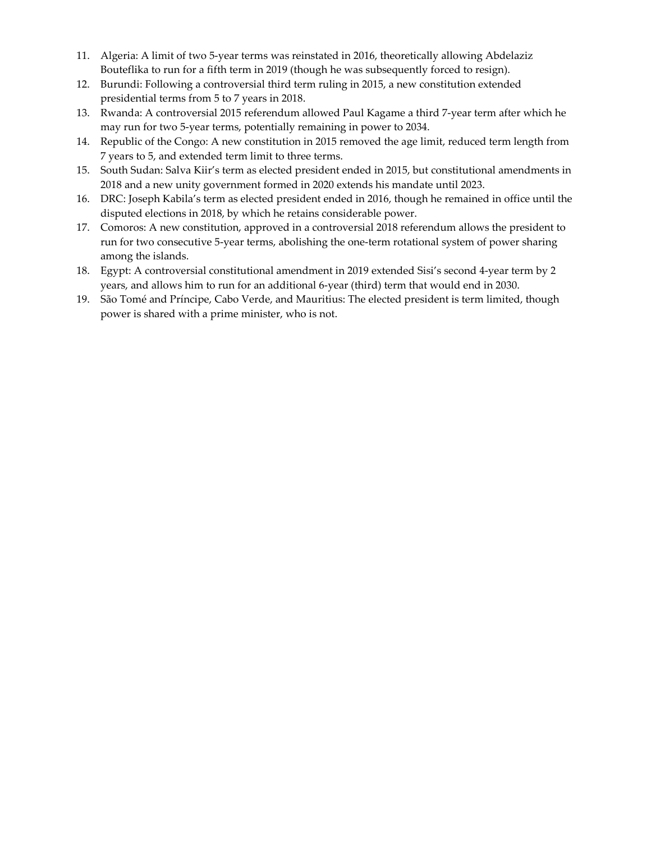- 11. Algeria: A limit of two 5-year terms was reinstated in 2016, theoretically allowing Abdelaziz Bouteflika to run for a fifth term in 2019 (though he was subsequently forced to resign).
- 12. Burundi: Following a controversial third term ruling in 2015, a new constitution extended presidential terms from 5 to 7 years in 2018.
- 13. Rwanda: A controversial 2015 referendum allowed Paul Kagame a third 7-year term after which he may run for two 5-year terms, potentially remaining in power to 2034.
- 14. Republic of the Congo: A new constitution in 2015 removed the age limit, reduced term length from 7 years to 5, and extended term limit to three terms.
- 15. South Sudan: Salva Kiir's term as elected president ended in 2015, but constitutional amendments in 2018 and a new unity government formed in 2020 extends his mandate until 2023.
- 16. DRC: Joseph Kabila's term as elected president ended in 2016, though he remained in office until the disputed elections in 2018, by which he retains considerable power.
- 17. Comoros: A new constitution, approved in a controversial 2018 referendum allows the president to run for two consecutive 5-year terms, abolishing the one-term rotational system of power sharing among the islands.
- 18. Egypt: A controversial constitutional amendment in 2019 extended Sisi's second 4-year term by 2 years, and allows him to run for an additional 6-year (third) term that would end in 2030.
- 19. São Tomé and Príncipe, Cabo Verde, and Mauritius: The elected president is term limited, though power is shared with a prime minister, who is not.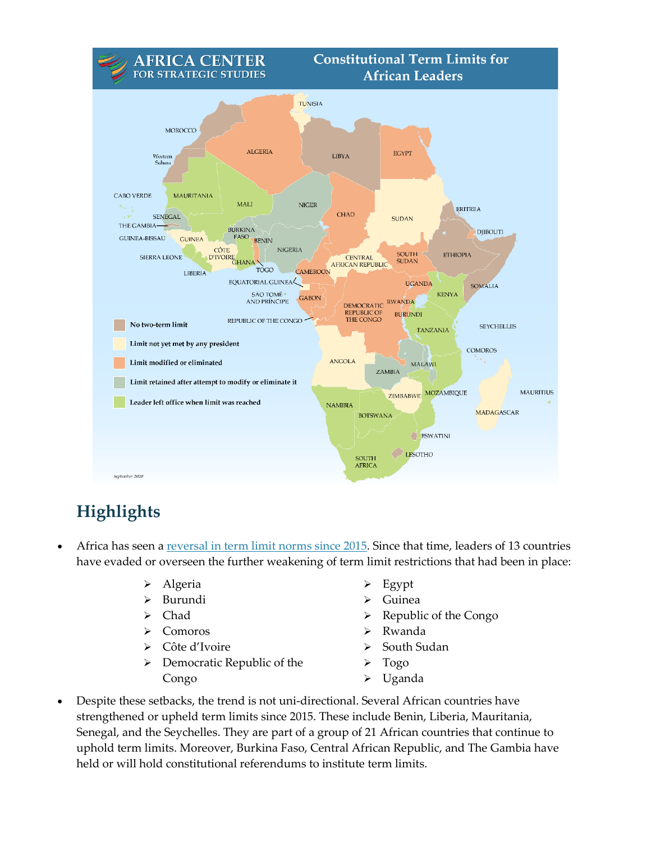

## **Highlights**

- Africa has seen a [reversal in term limit norms since 2015.](https://africacenter.org/spotlight/term-limits-for-african-leaders-linked-to-stability/) Since that time, leaders of 13 countries have evaded or overseen the further weakening of term limit restrictions that had been in place:
	- > Algeria
	- Burundi
	- > Chad
	- Comoros
	- Côte d'Ivoire
	- $\triangleright$  Democratic Republic of the Congo
- $\geq$  Egypt
- Guinea
- $\triangleright$  Republic of the Congo
- Rwanda
- South Sudan
- Togo
- Uganda
- Despite these setbacks, the trend is not uni-directional. Several African countries have strengthened or upheld term limits since 2015. These include Benin, Liberia, Mauritania, Senegal, and the Seychelles. They are part of a group of 21 African countries that continue to uphold term limits. Moreover, Burkina Faso, Central African Republic, and The Gambia have held or will hold constitutional referendums to institute term limits.